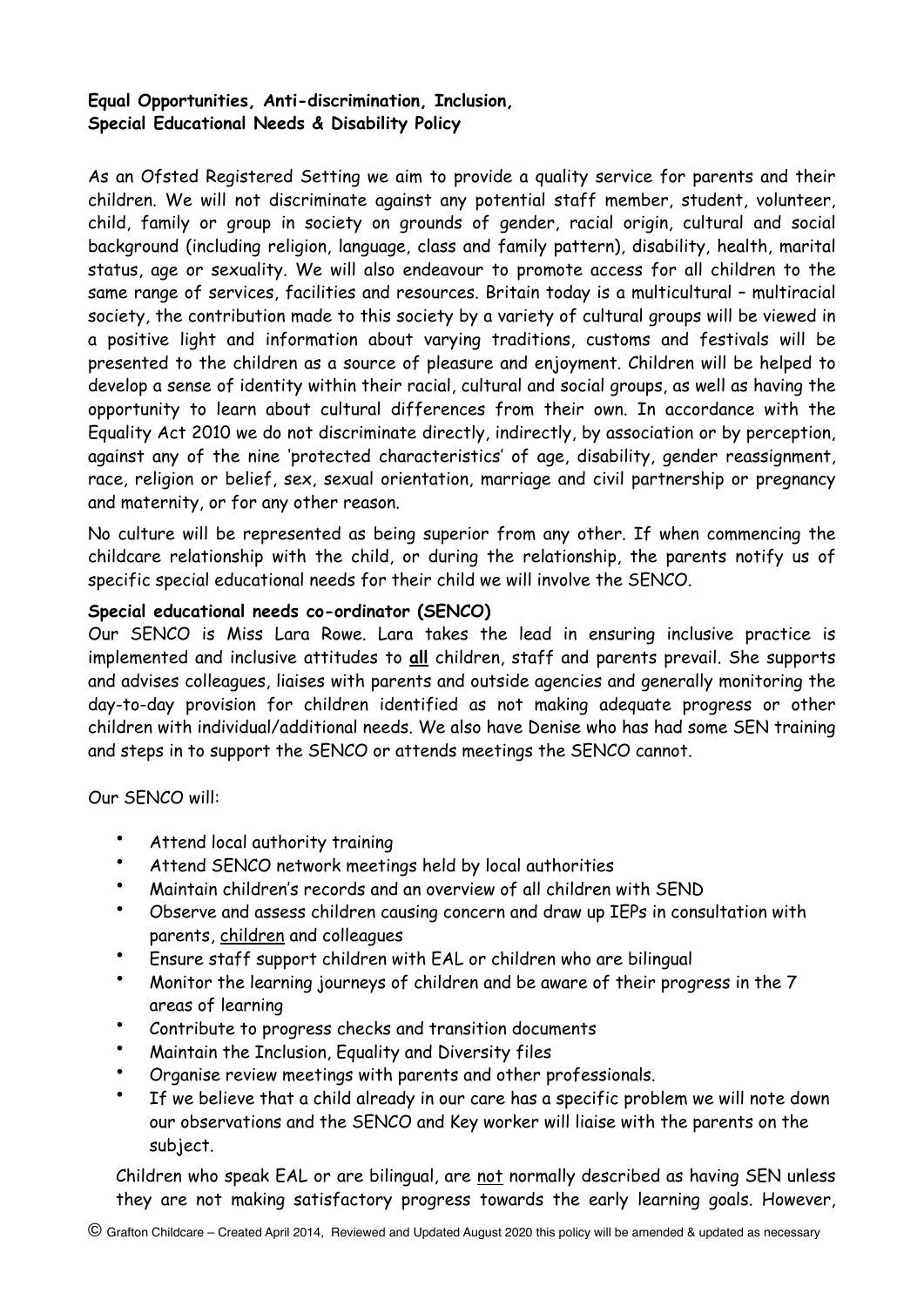## **Equal Opportunities, Anti-discrimination, Inclusion, Special Educational Needs & Disability Policy**

As an Ofsted Registered Setting we aim to provide a quality service for parents and their children. We will not discriminate against any potential staff member, student, volunteer, child, family or group in society on grounds of gender, racial origin, cultural and social background (including religion, language, class and family pattern), disability, health, marital status, age or sexuality. We will also endeavour to promote access for all children to the same range of services, facilities and resources. Britain today is a multicultural – multiracial society, the contribution made to this society by a variety of cultural groups will be viewed in a positive light and information about varying traditions, customs and festivals will be presented to the children as a source of pleasure and enjoyment. Children will be helped to develop a sense of identity within their racial, cultural and social groups, as well as having the opportunity to learn about cultural differences from their own. In accordance with the Equality Act 2010 we do not discriminate directly, indirectly, by association or by perception, against any of the nine 'protected characteristics' of age, disability, gender reassignment, race, religion or belief, sex, sexual orientation, marriage and civil partnership or pregnancy and maternity, or for any other reason.

No culture will be represented as being superior from any other. If when commencing the childcare relationship with the child, or during the relationship, the parents notify us of specific special educational needs for their child we will involve the SENCO.

## **Special educational needs co-ordinator (SENCO)**

Our SENCO is Miss Lara Rowe. Lara takes the lead in ensuring inclusive practice is implemented and inclusive attitudes to **all** children, staff and parents prevail. She supports and advises colleagues, liaises with parents and outside agencies and generally monitoring the day-to-day provision for children identified as not making adequate progress or other children with individual/additional needs. We also have Denise who has had some SEN training and steps in to support the SENCO or attends meetings the SENCO cannot.

Our SENCO will:

- Attend local authority training
- Attend SENCO network meetings held by local authorities
- Maintain children's records and an overview of all children with SEND
- Observe and assess children causing concern and draw up IEPs in consultation with parents, children and colleagues
- Ensure staff support children with EAL or children who are bilingual
- Monitor the learning journeys of children and be aware of their progress in the 7 areas of learning
- Contribute to progress checks and transition documents
- Maintain the Inclusion, Equality and Diversity files
- Organise review meetings with parents and other professionals.
- If we believe that a child already in our care has a specific problem we will note down our observations and the SENCO and Key worker will liaise with the parents on the subject.

Children who speak EAL or are bilingual, are not normally described as having SEN unless they are not making satisfactory progress towards the early learning goals. However,